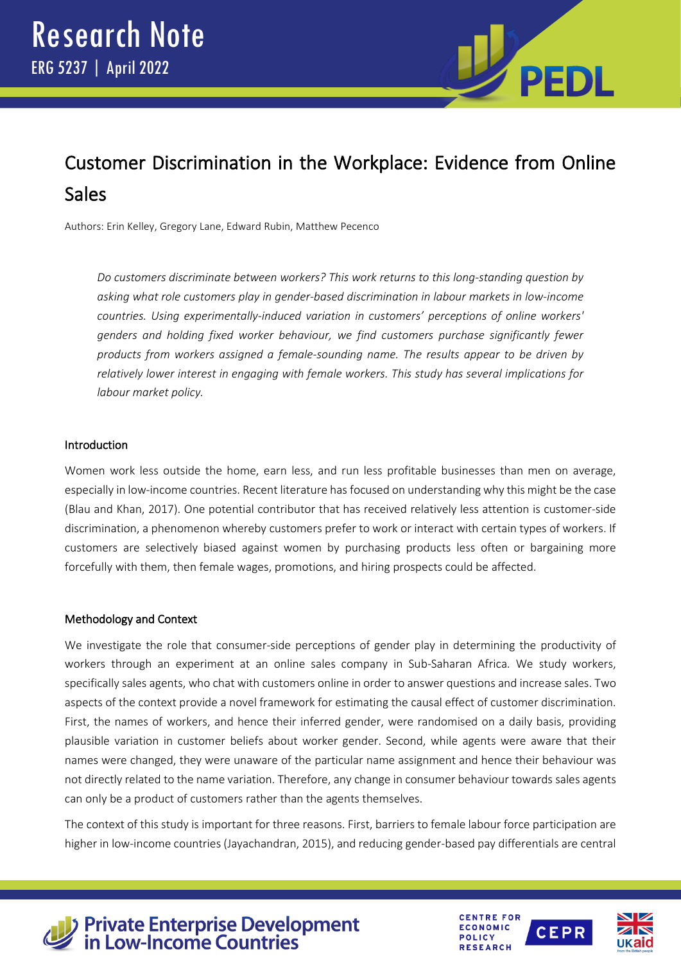

# Customer Discrimination in the Workplace: Evidence from Online **Sales**

Authors: Erin Kelley, Gregory Lane, Edward Rubin, Matthew Pecenco

*Do customers discriminate between workers? This work returns to this long-standing question by asking what role customers play in gender-based discrimination in labour markets in low-income countries. Using experimentally-induced variation in customers' perceptions of online workers' genders and holding fixed worker behaviour, we find customers purchase significantly fewer products from workers assigned a female-sounding name. The results appear to be driven by relatively lower interest in engaging with female workers. This study has several implications for labour market policy.*

### Introduction

Women work less outside the home, earn less, and run less profitable businesses than men on average, especially in low-income countries. Recent literature has focused on understanding why this might be the case (Blau and Khan, 2017). One potential contributor that has received relatively less attention is customer-side discrimination, a phenomenon whereby customers prefer to work or interact with certain types of workers. If customers are selectively biased against women by purchasing products less often or bargaining more forcefully with them, then female wages, promotions, and hiring prospects could be affected.

# Methodology and Context

We investigate the role that consumer-side perceptions of gender play in determining the productivity of workers through an experiment at an online sales company in Sub-Saharan Africa. We study workers, specifically sales agents, who chat with customers online in order to answer questions and increase sales. Two aspects of the context provide a novel framework for estimating the causal effect of customer discrimination. First, the names of workers, and hence their inferred gender, were randomised on a daily basis, providing plausible variation in customer beliefs about worker gender. Second, while agents were aware that their names were changed, they were unaware of the particular name assignment and hence their behaviour was not directly related to the name variation. Therefore, any change in consumer behaviour towards sales agents can only be a product of customers rather than the agents themselves.

The context of this study is important for three reasons. First, barriers to female labour force participation are higher in low-income countries (Jayachandran, 2015), and reducing gender-based pay differentials are central



# **Private Enterprise Development<br>in Low-Income Countries**



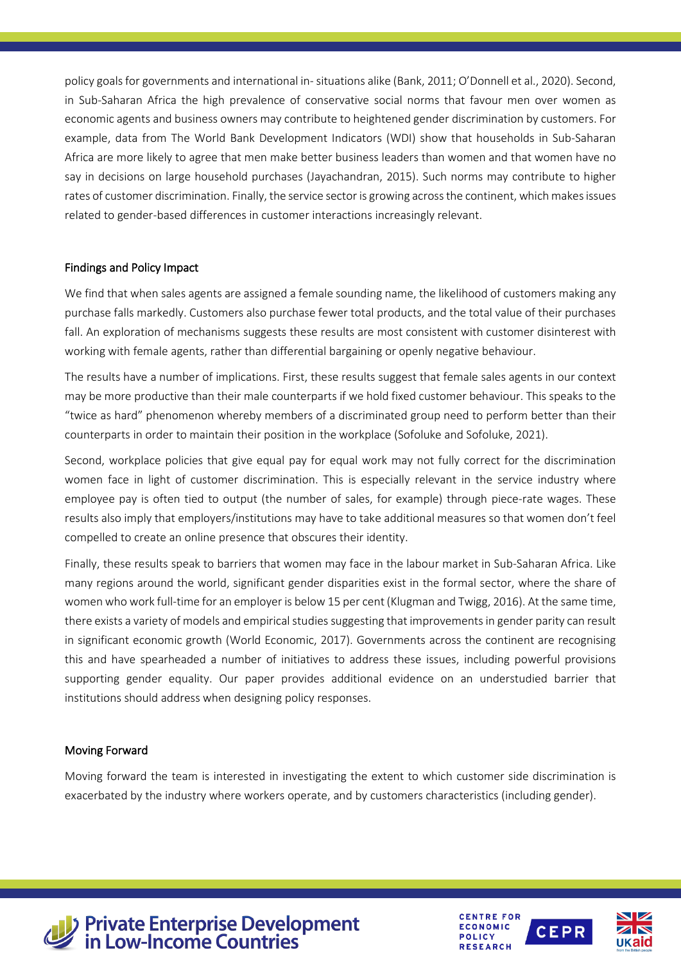policy goals for governments and international in- situations alike (Bank, 2011; O'Donnell et al., 2020). Second, in Sub-Saharan Africa the high prevalence of conservative social norms that favour men over women as economic agents and business owners may contribute to heightened gender discrimination by customers. For example, data from The World Bank Development Indicators (WDI) show that households in Sub-Saharan Africa are more likely to agree that men make better business leaders than women and that women have no say in decisions on large household purchases (Jayachandran, 2015). Such norms may contribute to higher rates of customer discrimination. Finally, the service sector is growing across the continent, which makes issues related to gender-based differences in customer interactions increasingly relevant.

# Findings and Policy Impact

We find that when sales agents are assigned a female sounding name, the likelihood of customers making any purchase falls markedly. Customers also purchase fewer total products, and the total value of their purchases fall. An exploration of mechanisms suggests these results are most consistent with customer disinterest with working with female agents, rather than differential bargaining or openly negative behaviour.

The results have a number of implications. First, these results suggest that female sales agents in our context may be more productive than their male counterparts if we hold fixed customer behaviour. This speaks to the "twice as hard" phenomenon whereby members of a discriminated group need to perform better than their counterparts in order to maintain their position in the workplace (Sofoluke and Sofoluke, 2021).

Second, workplace policies that give equal pay for equal work may not fully correct for the discrimination women face in light of customer discrimination. This is especially relevant in the service industry where employee pay is often tied to output (the number of sales, for example) through piece-rate wages. These results also imply that employers/institutions may have to take additional measures so that women don't feel compelled to create an online presence that obscures their identity.

Finally, these results speak to barriers that women may face in the labour market in Sub-Saharan Africa. Like many regions around the world, significant gender disparities exist in the formal sector, where the share of women who work full-time for an employer is below 15 per cent (Klugman and Twigg, 2016). At the same time, there exists a variety of models and empirical studies suggesting that improvements in gender parity can result in significant economic growth (World Economic, 2017). Governments across the continent are recognising this and have spearheaded a number of initiatives to address these issues, including powerful provisions supporting gender equality. Our paper provides additional evidence on an understudied barrier that institutions should address when designing policy responses.

#### Moving Forward

Moving forward the team is interested in investigating the extent to which customer side discrimination is exacerbated by the industry where workers operate, and by customers characteristics (including gender).



> Private Enterprise Development<br>
in Low-Income Countries